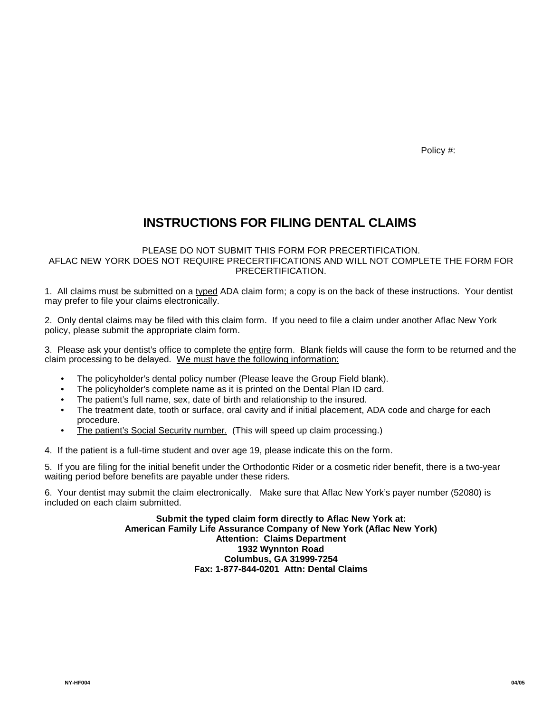Policy #:

## **INSTRUCTIONS FOR FILING DENTAL CLAIMS**

## PLEASE DO NOT SUBMIT THIS FORM FOR PRECERTIFICATION. AFLAC NEW YORK DOES NOT REQUIRE PRECERTIFICATIONS AND WILL NOT COMPLETE THE FORM FOR PRECERTIFICATION.

1. All claims must be submitted on a typed ADA claim form; a copy is on the back of these instructions. Your dentist may prefer to file your claims electronically.

2. Only dental claims may be filed with this claim form. If you need to file a claim under another Aflac New York policy, please submit the appropriate claim form.

3. Please ask your dentist's office to complete the entire form. Blank fields will cause the form to be returned and the claim processing to be delayed. We must have the following information:

- The policyholder's dental policy number (Please leave the Group Field blank).
- The policyholder's complete name as it is printed on the Dental Plan ID card.
- The patient's full name, sex, date of birth and relationship to the insured.
- The treatment date, tooth or surface, oral cavity and if initial placement, ADA code and charge for each procedure.
- The patient's Social Security number. (This will speed up claim processing.)

4. If the patient is a full-time student and over age 19, please indicate this on the form.

5. If you are filing for the initial benefit under the Orthodontic Rider or a cosmetic rider benefit, there is a two-year waiting period before benefits are payable under these riders.

6. Your dentist may submit the claim electronically. Make sure that Aflac New York's payer number (52080) is included on each claim submitted.

> **Submit the typed claim form directly to Aflac New York at: American Family Life Assurance Company of New York (Aflac New York) Attention: Claims Department 1932 Wynnton Road Columbus, GA 31999-7254 Fax: 1-877-844-0201 Attn: Dental Claims**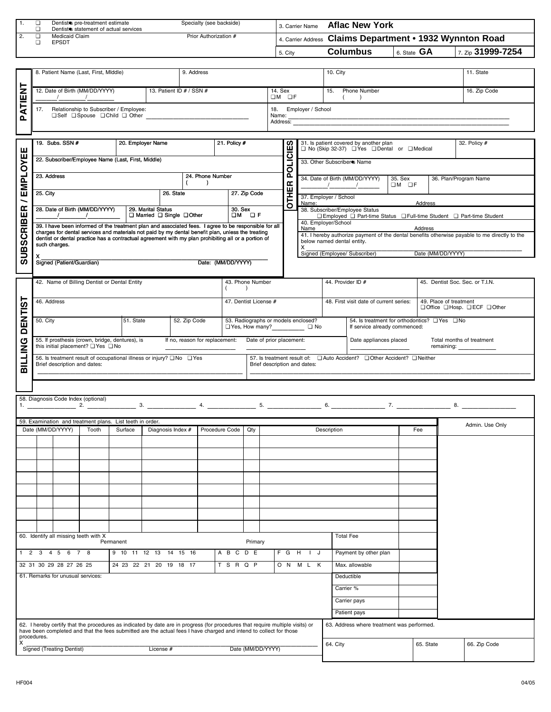| 1.   | Dentist <sup>e</sup> s pre-treatment estimate<br>Dentist <sup>e</sup> s statement of actual services | Specialty (see backside) | 3. Carrier Name | <b>Aflac New York</b>                                    |               |                   |
|------|------------------------------------------------------------------------------------------------------|--------------------------|-----------------|----------------------------------------------------------|---------------|-------------------|
| l 2. | Medicaid Claim<br><b>EPSDT</b>                                                                       | Prior Authorization #    |                 | 4. Carrier Address Claims Department • 1932 Wynnton Road |               |                   |
|      |                                                                                                      |                          | 5. City         | <b>Columbus</b>                                          | 6. State $GA$ | 7. Zip 31999-7254 |

|        | 8. Patient Name (Last, First, Middle)                                            |                              | 9. Address |                                               | 10. City                   | 11. State    |  |
|--------|----------------------------------------------------------------------------------|------------------------------|------------|-----------------------------------------------|----------------------------|--------------|--|
| –      |                                                                                  |                              |            |                                               |                            |              |  |
| z<br>面 | 12. Date of Birth (MM/DD/YYYY)                                                   | 13. Patient ID $# /$ SSN $#$ |            | 14. Sex<br>OM OF                              | <b>Phone Number</b><br>15. | 16. Zip Code |  |
| o.     | Relationship to Subscriber / Employee:<br>17.<br>□ Self □ Spouse □ Child □ Other |                              |            | Employer / School<br>18.<br>Name:<br>Address: |                            |              |  |
|        |                                                                                  |                              |            |                                               |                            |              |  |

| ш                | 19. Subs. SSN #                                                                                                                                                                                                                                                                                                                    | 20. Employer Name  |                                                                                                       | 21. Policy $#$     |                                                                 | ഗ            |           |                                           | 31. Is patient covered by another plan<br>□ No (Skip 32-37) □ Yes □ Dental or □ Medical |                  |                   | 32. Policy #                                                                                  |
|------------------|------------------------------------------------------------------------------------------------------------------------------------------------------------------------------------------------------------------------------------------------------------------------------------------------------------------------------------|--------------------|-------------------------------------------------------------------------------------------------------|--------------------|-----------------------------------------------------------------|--------------|-----------|-------------------------------------------|-----------------------------------------------------------------------------------------|------------------|-------------------|-----------------------------------------------------------------------------------------------|
| EMPLOYE          | 22. Subscriber/Employee Name (Last, First, Middle)                                                                                                                                                                                                                                                                                 |                    |                                                                                                       |                    |                                                                 | POLICIE      |           | 33. Other Subscriber <sup>®</sup> Name    |                                                                                         |                  |                   |                                                                                               |
|                  | 23. Address                                                                                                                                                                                                                                                                                                                        |                    |                                                                                                       | 24. Phone Number   |                                                                 |              |           | $\frac{1}{2}$ $\frac{1}{2}$ $\frac{1}{2}$ | 34. Date of Birth (MM/DD/YYYY)                                                          | 35. Sex<br>OM OF |                   | 36. Plan/Program Name                                                                         |
| ∽                | 25. City                                                                                                                                                                                                                                                                                                                           |                    | 26. State                                                                                             |                    | 27. Zip Code                                                    | <b>OTHER</b> | Name:     | 37. Employer / School                     |                                                                                         |                  | Address           |                                                                                               |
| 岛                | 28. Date of Birth (MM/DD/YYYY)                                                                                                                                                                                                                                                                                                     | 29. Marital Status | □ Married □ Single □ Other                                                                            | 30. Sex            | OM OF                                                           |              |           | 40. Employer/School                       | 38. Subscriber/Employee Status                                                          |                  |                   | □ Employed □ Part-time Status □ Full-time Student □ Part-time Student                         |
| <b>SUBSCRIBI</b> | 39. I have been informed of the treatment plan and associated fees. I agree to be responsible for all<br>charges for dental services and materials not paid by my dental benefit plan, unless the treating<br>dentist or dental practice has a contractual agreement with my plan prohibiting all or a portion of<br>such charges. |                    |                                                                                                       |                    |                                                                 |              | Name<br>х | below named dental entity.                |                                                                                         |                  | Address           | 41. I hereby authorize payment of the dental benefits otherwise payable to me directly to the |
|                  | x<br>Signed (Patient/Guardian)                                                                                                                                                                                                                                                                                                     |                    |                                                                                                       | Date: (MM/DD/YYYY) |                                                                 |              |           | Signed (Employee/ Subscriber)             |                                                                                         |                  | Date (MM/DD/YYYY) |                                                                                               |
|                  | 42. Name of Billing Dentist or Dental Entity                                                                                                                                                                                                                                                                                       |                    |                                                                                                       |                    | 43. Phone Number                                                |              |           | 44. Provider ID #                         |                                                                                         |                  |                   | 45. Dentist Soc. Sec. or T.I.N.                                                               |
|                  | 46. Address                                                                                                                                                                                                                                                                                                                        |                    |                                                                                                       |                    | 47. Dentist License #                                           |              |           |                                           | 48. First visit date of current series:                                                 |                  |                   | 49. Place of treatment<br>□ Office □ Hosp. □ ECF □ Other                                      |
| <b>DENTIST</b>   | 50. City                                                                                                                                                                                                                                                                                                                           | 51. State          | 52. Zip Code                                                                                          |                    | 53. Radiographs or models enclosed?<br>□ Yes, How many?<br>□ No |              |           |                                           | 54. Is treatment for orthodontics? The Thomas<br>If service already commenced:          |                  |                   |                                                                                               |
| <b>ILLING</b>    | 55. If prosthesis (crown, bridge, dentures), is<br>this initial placement? □ Yes □ No                                                                                                                                                                                                                                              |                    | If no, reason for replacement:                                                                        |                    | Date of prior placement:                                        |              |           |                                           | Date appliances placed                                                                  |                  |                   | Total months of treatment<br>remaining: _____________                                         |
| m                | 56. Is treatment result of occupational illness or injury? $\Box$ No $\Box$ Yes<br>Brief description and dates:                                                                                                                                                                                                                    |                    |                                                                                                       |                    | Brief description and dates:                                    |              |           |                                           | 57. Is treatment result of: □ Auto Accident? □ Other Accident? □ Neither                |                  |                   |                                                                                               |
|                  |                                                                                                                                                                                                                                                                                                                                    |                    |                                                                                                       |                    |                                                                 |              |           |                                           |                                                                                         |                  |                   |                                                                                               |
|                  | 58. Diagnosis Code Index (optional)                                                                                                                                                                                                                                                                                                | 2.                 | 3. $\frac{1}{2}$ 4. $\frac{1}{2}$ 5. $\frac{1}{2}$ 6. $\frac{1}{2}$ 7. $\frac{1}{2}$ 7. $\frac{1}{2}$ |                    |                                                                 |              |           |                                           |                                                                                         |                  |                   | 8.                                                                                            |
|                  | 59. Examination and treatment plans. List teeth in order.                                                                                                                                                                                                                                                                          |                    |                                                                                                       |                    |                                                                 |              |           |                                           |                                                                                         |                  |                   | Admin. Use Only                                                                               |
|                  | Date (MM/DD/YYYY)<br>Tooth                                                                                                                                                                                                                                                                                                         | Surface            | Diagnosis Index #                                                                                     | Procedure Code     | Qty                                                             |              |           | Description                               |                                                                                         |                  | Fee               |                                                                                               |

|                |   |                                   |                                       | JJ. Examination and treatment plans. Else tocum in order.                                                                                                                                                                      |                   |  |                |         |                   |     |        |                   |                                            |           | Admin. Use Only |
|----------------|---|-----------------------------------|---------------------------------------|--------------------------------------------------------------------------------------------------------------------------------------------------------------------------------------------------------------------------------|-------------------|--|----------------|---------|-------------------|-----|--------|-------------------|--------------------------------------------|-----------|-----------------|
|                |   | Date (MM/DD/YYYY)                 | Tooth                                 | Surface                                                                                                                                                                                                                        | Diagnosis Index # |  | Procedure Code | Qty     |                   |     |        |                   | Description                                | Fee       |                 |
|                |   |                                   |                                       |                                                                                                                                                                                                                                |                   |  |                |         |                   |     |        |                   |                                            |           |                 |
|                |   |                                   |                                       |                                                                                                                                                                                                                                |                   |  |                |         |                   |     |        |                   |                                            |           |                 |
|                |   |                                   |                                       |                                                                                                                                                                                                                                |                   |  |                |         |                   |     |        |                   |                                            |           |                 |
|                |   |                                   |                                       |                                                                                                                                                                                                                                |                   |  |                |         |                   |     |        |                   |                                            |           |                 |
|                |   |                                   |                                       |                                                                                                                                                                                                                                |                   |  |                |         |                   |     |        |                   |                                            |           |                 |
|                |   |                                   |                                       |                                                                                                                                                                                                                                |                   |  |                |         |                   |     |        |                   |                                            |           |                 |
|                |   |                                   |                                       |                                                                                                                                                                                                                                |                   |  |                |         |                   |     |        |                   |                                            |           |                 |
|                |   |                                   |                                       |                                                                                                                                                                                                                                |                   |  |                |         |                   |     |        |                   |                                            |           |                 |
|                |   |                                   |                                       |                                                                                                                                                                                                                                |                   |  |                |         |                   |     |        |                   |                                            |           |                 |
|                |   |                                   |                                       |                                                                                                                                                                                                                                |                   |  |                |         |                   |     |        |                   |                                            |           |                 |
|                |   |                                   |                                       |                                                                                                                                                                                                                                |                   |  |                |         |                   |     |        |                   |                                            |           |                 |
|                |   |                                   |                                       |                                                                                                                                                                                                                                |                   |  |                |         |                   |     |        |                   |                                            |           |                 |
|                |   |                                   | 60. Identify all missing teeth with X |                                                                                                                                                                                                                                |                   |  |                |         |                   |     |        |                   | <b>Total Fee</b>                           |           |                 |
|                |   |                                   |                                       | Permanent                                                                                                                                                                                                                      |                   |  |                | Primary |                   |     |        |                   |                                            |           |                 |
| $\overline{2}$ | 3 | 6<br>$4\quad5$                    | 7 8                                   | 9 10 11 12 13 14 15 16                                                                                                                                                                                                         |                   |  | A B C          | D E     |                   | F G | H      | J<br>$\mathbf{L}$ | Payment by other plan                      |           |                 |
|                |   | 32 31 30 29 28 27 26 25           |                                       | 24 23 22 21 20 19 18 17                                                                                                                                                                                                        |                   |  | <b>TSRQP</b>   |         |                   |     | ON MLK |                   | Max. allowable                             |           |                 |
|                |   | 61. Remarks for unusual services: |                                       |                                                                                                                                                                                                                                |                   |  |                |         |                   |     |        |                   | Deductible                                 |           |                 |
|                |   |                                   |                                       |                                                                                                                                                                                                                                |                   |  |                |         |                   |     |        |                   | Carrier %                                  |           |                 |
|                |   |                                   |                                       |                                                                                                                                                                                                                                |                   |  |                |         |                   |     |        |                   | Carrier pays                               |           |                 |
|                |   |                                   |                                       |                                                                                                                                                                                                                                |                   |  |                |         |                   |     |        |                   | Patient pays                               |           |                 |
| procedures.    |   |                                   |                                       | 62. I hereby certify that the procedures as indicated by date are in progress (for procedures that require multiple visits) or have been completed and that the fees submitted are the actual fees I have charged and intend t |                   |  |                |         |                   |     |        |                   | 63. Address where treatment was performed. |           |                 |
| $\mathsf{x}$   |   |                                   |                                       |                                                                                                                                                                                                                                |                   |  |                |         |                   |     |        |                   | 64. City                                   | 65. State | 66. Zip Code    |
|                |   | Signed (Treating Dentist)         |                                       |                                                                                                                                                                                                                                | License #         |  |                |         | Date (MM/DD/YYYY) |     |        |                   |                                            |           |                 |

Г